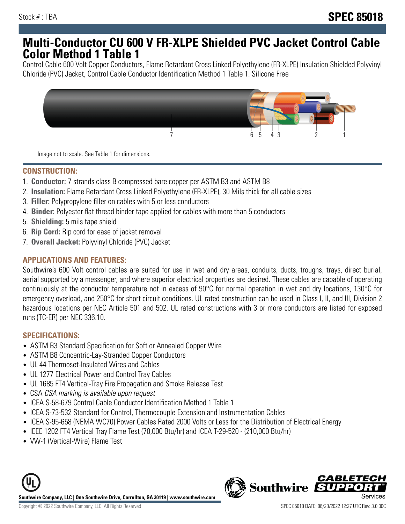## **Multi-Conductor CU 600 V FR-XLPE Shielded PVC Jacket Control Cable Color Method 1 Table 1**

Control Cable 600 Volt Copper Conductors, Flame Retardant Cross Linked Polyethylene (FR-XLPE) Insulation Shielded Polyvinyl Chloride (PVC) Jacket, Control Cable Conductor Identification Method 1 Table 1. Silicone Free



Image not to scale. See Table 1 for dimensions.

### **CONSTRUCTION:**

- 1. **Conductor:** 7 strands class B compressed bare copper per ASTM B3 and ASTM B8
- 2. **Insulation:** Flame Retardant Cross Linked Polyethylene (FR-XLPE), 30 Mils thick for all cable sizes
- 3. **Filler:** Polypropylene filler on cables with 5 or less conductors
- 4. **Binder:** Polyester flat thread binder tape applied for cables with more than 5 conductors
- 5. **Shielding:** 5 mils tape shield
- 6. **Rip Cord:** Rip cord for ease of jacket removal
- 7. **Overall Jacket:** Polyvinyl Chloride (PVC) Jacket

#### **APPLICATIONS AND FEATURES:**

Southwire's 600 Volt control cables are suited for use in wet and dry areas, conduits, ducts, troughs, trays, direct burial, aerial supported by a messenger, and where superior electrical properties are desired. These cables are capable of operating continuously at the conductor temperature not in excess of 90°C for normal operation in wet and dry locations, 130°C for emergency overload, and 250°C for short circuit conditions. UL rated construction can be used in Class I, II, and III, Division 2 hazardous locations per NEC Article 501 and 502. UL rated constructions with 3 or more conductors are listed for exposed runs (TC-ER) per NEC 336.10.

### **SPECIFICATIONS:**

- ASTM B3 Standard Specification for Soft or Annealed Copper Wire
- ASTM B8 Concentric-Lay-Stranded Copper Conductors
- UL 44 Thermoset-Insulated Wires and Cables
- UL 1277 Electrical Power and Control Tray Cables
- UL 1685 FT4 Vertical-Tray Fire Propagation and Smoke Release Test
- CSA CSA marking is available upon request
- ICEA S-58-679 Control Cable Conductor Identification Method 1 Table 1
- ICEA S-73-532 Standard for Control, Thermocouple Extension and Instrumentation Cables
- ICEA S-95-658 (NEMA WC70) Power Cables Rated 2000 Volts or Less for the Distribution of Electrical Energy
- IEEE 1202 FT4 Vertical Tray Flame Test (70,000 Btu/hr) and ICEA T-29-520 (210,000 Btu/hr)
- VW-1 (Vertical-Wire) Flame Test



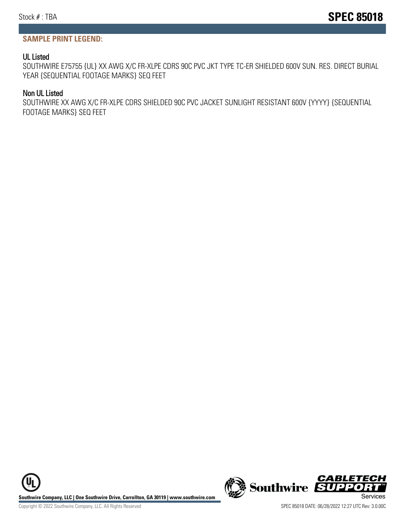### **SAMPLE PRINT LEGEND:**

#### UL Listed

SOUTHWIRE E75755 {UL} XX AWG X/C FR-XLPE CDRS 90C PVC JKT TYPE TC-ER SHIELDED 600V SUN. RES. DIRECT BURIAL YEAR {SEQUENTIAL FOOTAGE MARKS} SEQ FEET

#### Non UL Listed

SOUTHWIRE XX AWG X/C FR-XLPE CDRS SHIELDED 90C PVC JACKET SUNLIGHT RESISTANT 600V {YYYY} {SEQUENTIAL FOOTAGE MARKS} SEQ FEET